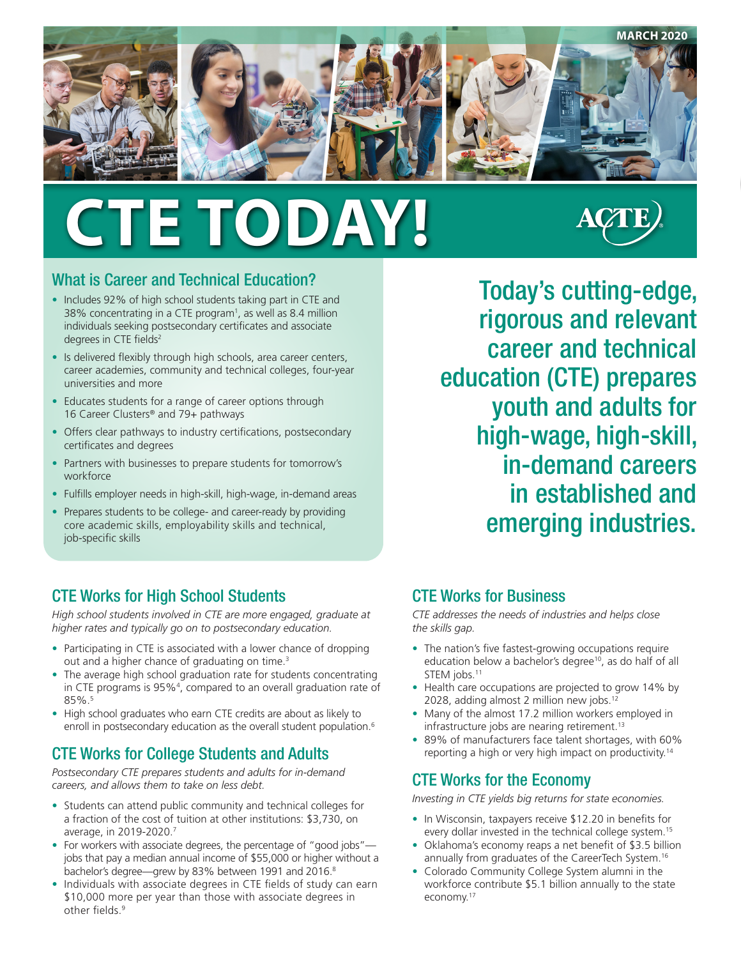

# **CTE TODAY!**



#### What is Career and Technical Education?

- Includes 92% of high school students taking part in CTE and 38% concentrating in a CTE program<sup>1</sup>, as well as 8.4 million individuals seeking postsecondary certificates and associate degrees in CTE fields<sup>2</sup>
- Is delivered flexibly through high schools, area career centers, career academies, community and technical colleges, four-year universities and more
- Educates students for a range of career options through 16 Career Clusters® and 79+ pathways
- Offers clear pathways to industry certifications, postsecondary certificates and degrees
- Partners with businesses to prepare students for tomorrow's workforce
- Fulfills employer needs in high-skill, high-wage, in-demand areas
- Prepares students to be college- and career-ready by providing core academic skills, employability skills and technical, job-specific skills

Today's cutting-edge, rigorous and relevant career and technical education (CTE) prepares youth and adults for high-wage, high-skill, in-demand careers in established and emerging industries.

#### CTE Works for High School Students

*High school students involved in CTE are more engaged, graduate at higher rates and typically go on to postsecondary education.*

- Participating in CTE is associated with a lower chance of dropping out and a higher chance of graduating on time.<sup>3</sup>
- The average high school graduation rate for students concentrating in CTE programs is 95%4 , compared to an overall graduation rate of 85%.5
- High school graduates who earn CTE credits are about as likely to enroll in postsecondary education as the overall student population.<sup>6</sup>

## CTE Works for College Students and Adults

*Postsecondary CTE prepares students and adults for in-demand careers, and allows them to take on less debt.* 

- Students can attend public community and technical colleges for a fraction of the cost of tuition at other institutions: \$3,730, on average, in 2019-2020.7
- For workers with associate degrees, the percentage of "good jobs"jobs that pay a median annual income of \$55,000 or higher without a bachelor's degree—grew by 83% between 1991 and 2016.<sup>8</sup>
- Individuals with associate degrees in CTE fields of study can earn \$10,000 more per year than those with associate degrees in other fields.<sup>9</sup>

#### CTE Works for Business

*CTE addresses the needs of industries and helps close the skills gap.* 

- The nation's five fastest-growing occupations require education below a bachelor's degree<sup>10</sup>, as do half of all STEM jobs.<sup>11</sup>
- Health care occupations are projected to grow 14% by 2028, adding almost 2 million new jobs.<sup>12</sup>
- Many of the almost 17.2 million workers employed in infrastructure jobs are nearing retirement.<sup>13</sup>
- 89% of manufacturers face talent shortages, with 60% reporting a high or very high impact on productivity.<sup>14</sup>

## CTE Works for the Economy

*Investing in CTE yields big returns for state economies.* 

- In Wisconsin, taxpayers receive \$12.20 in benefits for every dollar invested in the technical college system.<sup>15</sup>
- Oklahoma's economy reaps a net benefit of \$3.5 billion annually from graduates of the CareerTech System.<sup>16</sup>
- Colorado Community College System alumni in the workforce contribute \$5.1 billion annually to the state economy.17